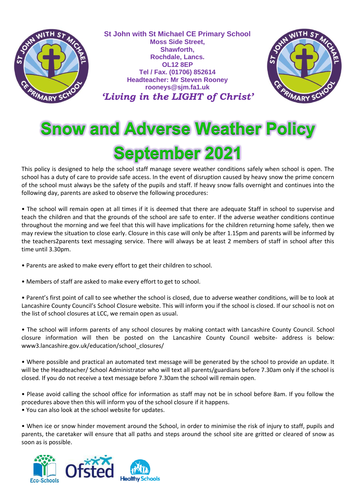

**St John with St Michael CE Primary School Moss Side Street, Shawforth, Rochdale, Lancs. OL12 8EP Tel / Fax. (01706) 852614 Headteacher: Mr Steven Rooney rooneys@sjm.fa1.uk** *'Living in the LIGHT of Christ'*



# **Snow and Adverse Weather Policy September 2021**

This policy is designed to help the school staff manage severe weather conditions safely when school is open. The school has a duty of care to provide safe access. In the event of disruption caused by heavy snow the prime concern of the school must always be the safety of the pupils and staff. If heavy snow falls overnight and continues into the following day, parents are asked to observe the following procedures:

• The school will remain open at all times if it is deemed that there are adequate Staff in school to supervise and teach the children and that the grounds of the school are safe to enter. If the adverse weather conditions continue throughout the morning and we feel that this will have implications for the children returning home safely, then we may review the situation to close early. Closure in this case will only be after 1.15pm and parents will be informed by the teachers2parents text messaging service. There will always be at least 2 members of staff in school after this time until 3.30pm.

- Parents are asked to make every effort to get their children to school.
- Members of staff are asked to make every effort to get to school.

• Parent's first point of call to see whether the school is closed, due to adverse weather conditions, will be to look at Lancashire County Council's School Closure website. This will inform you if the school is closed. If our school is not on the list of school closures at LCC, we remain open as usual.

• The school will inform parents of any school closures by making contact with Lancashire County Council. School closure information will then be posted on the Lancashire County Council website- address is below: www3.lancashire.gov.uk/education/school\_closures/

• Where possible and practical an automated text message will be generated by the school to provide an update. It will be the Headteacher/ School Administrator who will text all parents/guardians before 7.30am only if the school is closed. If you do not receive a text message before 7.30am the school will remain open.

• Please avoid calling the school office for information as staff may not be in school before 8am. If you follow the procedures above then this will inform you of the school closure if it happens. • You can also look at the school website for updates.

• When ice or snow hinder movement around the School, in order to minimise the risk of injury to staff, pupils and parents, the caretaker will ensure that all paths and steps around the school site are gritted or cleared of snow as soon as is possible.